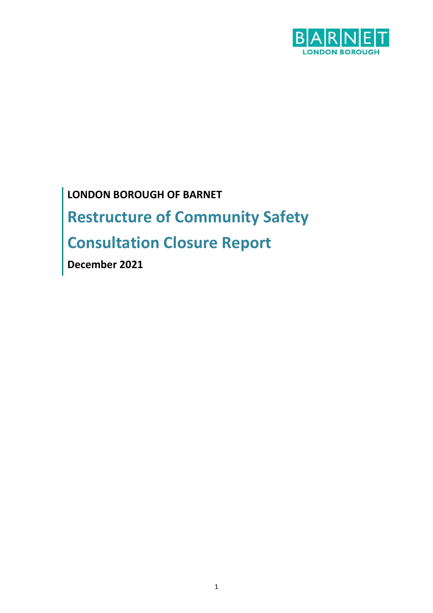

**LONDON BOROUGH OF BARNET Restructure of Community Safety Consultation Closure Report** 

**December 2021**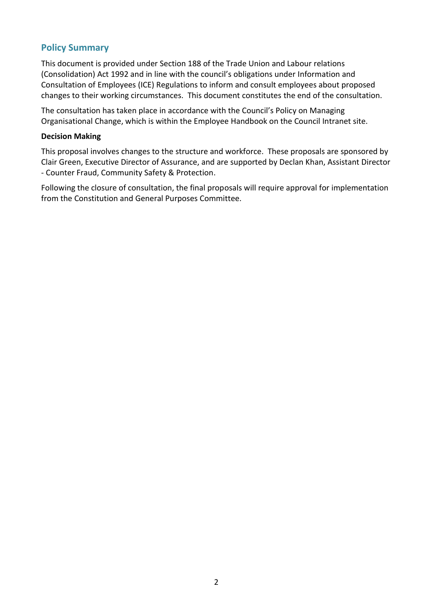## **Policy Summary**

This document is provided under Section 188 of the Trade Union and Labour relations (Consolidation) Act 1992 and in line with the council's obligations under Information and Consultation of Employees (ICE) Regulations to inform and consult employees about proposed changes to their working circumstances. This document constitutes the end of the consultation.

The consultation has taken place in accordance with the Council's Policy on Managing Organisational Change, which is within the Employee Handbook on the Council Intranet site.

#### **Decision Making**

This proposal involves changes to the structure and workforce. These proposals are sponsored by Clair Green, Executive Director of Assurance, and are supported by Declan Khan, Assistant Director - Counter Fraud, Community Safety & Protection.

Following the closure of consultation, the final proposals will require approval for implementation from the Constitution and General Purposes Committee.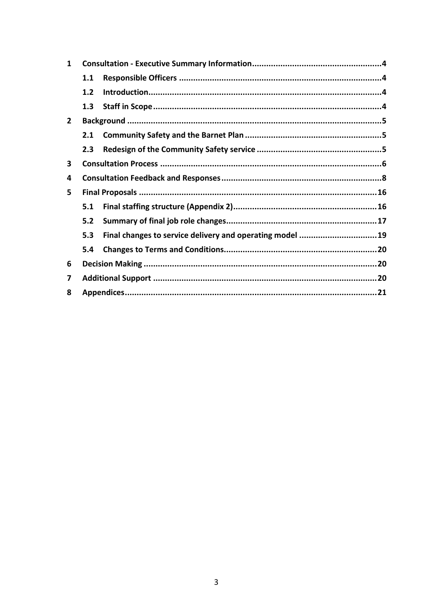| 1            |     |                                                          |  |
|--------------|-----|----------------------------------------------------------|--|
|              | 1.1 |                                                          |  |
|              | 1.2 |                                                          |  |
|              | 1.3 |                                                          |  |
| $\mathbf{2}$ |     |                                                          |  |
|              | 2.1 |                                                          |  |
|              | 2.3 |                                                          |  |
| 3            |     |                                                          |  |
| 4            |     |                                                          |  |
| 5            |     |                                                          |  |
|              | 5.1 |                                                          |  |
|              | 5.2 |                                                          |  |
|              | 5.3 | Final changes to service delivery and operating model 19 |  |
|              | 5.4 |                                                          |  |
| 6            |     |                                                          |  |
| 7            |     |                                                          |  |
| 8            |     |                                                          |  |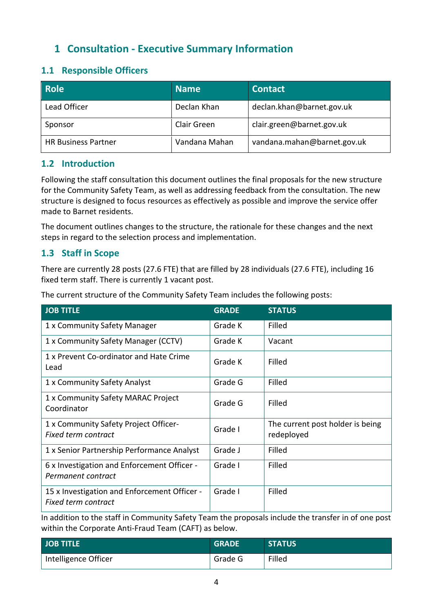# <span id="page-3-0"></span>**1 Consultation - Executive Summary Information**

# <span id="page-3-1"></span>**1.1 Responsible Officers**

| <b>Role</b>                | <b>Name</b>   | <b>Contact</b>              |
|----------------------------|---------------|-----------------------------|
| Lead Officer               | Declan Khan   | declan.khan@barnet.gov.uk   |
| Sponsor                    | Clair Green   | clair.green@barnet.gov.uk   |
| <b>HR Business Partner</b> | Vandana Mahan | vandana.mahan@barnet.gov.uk |

# <span id="page-3-2"></span>**1.2 Introduction**

Following the staff consultation this document outlines the final proposals for the new structure for the Community Safety Team, as well as addressing feedback from the consultation. The new structure is designed to focus resources as effectively as possible and improve the service offer made to Barnet residents.

The document outlines changes to the structure, the rationale for these changes and the next steps in regard to the selection process and implementation.

# <span id="page-3-3"></span>**1.3 Staff in Scope**

There are currently 28 posts (27.6 FTE) that are filled by 28 individuals (27.6 FTE), including 16 fixed term staff. There is currently 1 vacant post.

The current structure of the Community Safety Team includes the following posts:

| <b>JOB TITLE</b>                                                    | <b>GRADE</b> | <b>STATUS</b>                                  |
|---------------------------------------------------------------------|--------------|------------------------------------------------|
| 1 x Community Safety Manager                                        | Grade K      | Filled                                         |
| 1 x Community Safety Manager (CCTV)                                 | Grade K      | Vacant                                         |
| 1 x Prevent Co-ordinator and Hate Crime<br>Lead                     | Grade K      | Filled                                         |
| 1 x Community Safety Analyst                                        | Grade G      | Filled                                         |
| 1 x Community Safety MARAC Project<br>Coordinator                   | Grade G      | Filled                                         |
| 1 x Community Safety Project Officer-<br><b>Fixed term contract</b> | Grade I      | The current post holder is being<br>redeployed |
| 1 x Senior Partnership Performance Analyst                          | Grade J      | Filled                                         |
| 6 x Investigation and Enforcement Officer -<br>Permanent contract   | Grade I      | Filled                                         |
| 15 x Investigation and Enforcement Officer -<br>Fixed term contract | Grade I      | Filled                                         |

In addition to the staff in Community Safety Team the proposals include the transfer in of one post within the Corporate Anti-Fraud Team (CAFT) as below.

| JOB TITLE            | <b>GRADE</b> | <b>STATUS</b> |
|----------------------|--------------|---------------|
| Intelligence Officer | Grade G      | Filled        |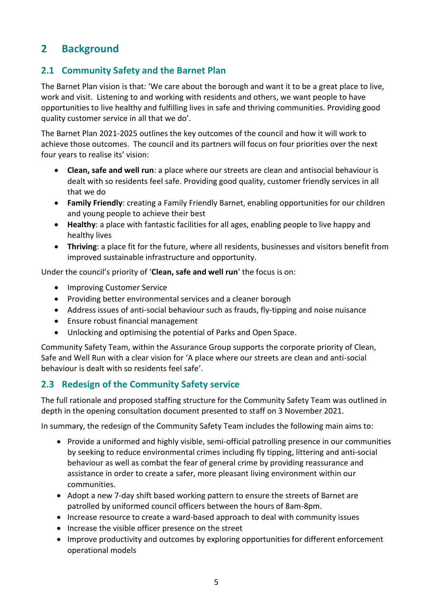# <span id="page-4-0"></span>**2 Background**

# <span id="page-4-1"></span>**2.1 Community Safety and the Barnet Plan**

The Barnet Plan vision is that: 'We care about the borough and want it to be a great place to live, work and visit. Listening to and working with residents and others, we want people to have opportunities to live healthy and fulfilling lives in safe and thriving communities. Providing good quality customer service in all that we do'.

The Barnet Plan 2021-2025 outlines the key outcomes of the council and how it will work to achieve those outcomes. The council and its partners will focus on four priorities over the next four years to realise its' vision:

- **Clean, safe and well run**: a place where our streets are clean and antisocial behaviour is dealt with so residents feel safe. Providing good quality, customer friendly services in all that we do
- **Family Friendly**: creating a Family Friendly Barnet, enabling opportunities for our children and young people to achieve their best
- **Healthy**: a place with fantastic facilities for all ages, enabling people to live happy and healthy lives
- **Thriving**: a place fit for the future, where all residents, businesses and visitors benefit from improved sustainable infrastructure and opportunity.

Under the council's priority of '**Clean, safe and well run**' the focus is on:

- Improving Customer Service
- Providing better environmental services and a cleaner borough
- Address issues of anti-social behaviour such as frauds, fly-tipping and noise nuisance
- Ensure robust financial management
- Unlocking and optimising the potential of Parks and Open Space.

Community Safety Team, within the Assurance Group supports the corporate priority of Clean, Safe and Well Run with a clear vision for 'A place where our streets are clean and anti-social behaviour is dealt with so residents feel safe'.

# <span id="page-4-2"></span>**2.3 Redesign of the Community Safety service**

The full rationale and proposed staffing structure for the Community Safety Team was outlined in depth in the opening consultation document presented to staff on 3 November 2021.

In summary, the redesign of the Community Safety Team includes the following main aims to:

- Provide a uniformed and highly visible, semi-official patrolling presence in our communities by seeking to reduce environmental crimes including fly tipping, littering and anti-social behaviour as well as combat the fear of general crime by providing reassurance and assistance in order to create a safer, more pleasant living environment within our communities.
- Adopt a new 7-day shift based working pattern to ensure the streets of Barnet are patrolled by uniformed council officers between the hours of 8am-8pm.
- Increase resource to create a ward-based approach to deal with community issues
- Increase the visible officer presence on the street
- Improve productivity and outcomes by exploring opportunities for different enforcement operational models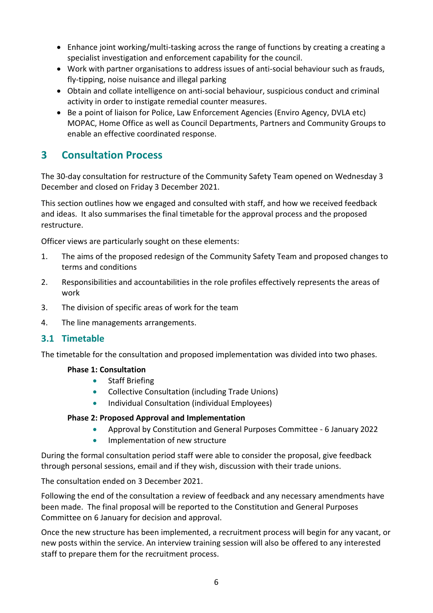- Enhance joint working/multi-tasking across the range of functions by creating a creating a specialist investigation and enforcement capability for the council.
- Work with partner organisations to address issues of anti-social behaviour such as frauds, fly-tipping, noise nuisance and illegal parking
- Obtain and collate intelligence on anti-social behaviour, suspicious conduct and criminal activity in order to instigate remedial counter measures.
- Be a point of liaison for Police, Law Enforcement Agencies (Enviro Agency, DVLA etc) MOPAC, Home Office as well as Council Departments, Partners and Community Groups to enable an effective coordinated response.

# <span id="page-5-0"></span>**3 Consultation Process**

The 30-day consultation for restructure of the Community Safety Team opened on Wednesday 3 December and closed on Friday 3 December 2021.

This section outlines how we engaged and consulted with staff, and how we received feedback and ideas. It also summarises the final timetable for the approval process and the proposed restructure.

Officer views are particularly sought on these elements:

- 1. The aims of the proposed redesign of the Community Safety Team and proposed changes to terms and conditions
- 2. Responsibilities and accountabilities in the role profiles effectively represents the areas of work
- 3. The division of specific areas of work for the team
- 4. The line managements arrangements.

# **3.1 Timetable**

The timetable for the consultation and proposed implementation was divided into two phases.

### **Phase 1: Consultation**

- Staff Briefing
- Collective Consultation (including Trade Unions)
- Individual Consultation (individual Employees)

### **Phase 2: Proposed Approval and Implementation**

- Approval by Constitution and General Purposes Committee 6 January 2022
- Implementation of new structure

During the formal consultation period staff were able to consider the proposal, give feedback through personal sessions, email and if they wish, discussion with their trade unions.

The consultation ended on 3 December 2021.

Following the end of the consultation a review of feedback and any necessary amendments have been made. The final proposal will be reported to the Constitution and General Purposes Committee on 6 January for decision and approval.

Once the new structure has been implemented, a recruitment process will begin for any vacant, or new posts within the service. An interview training session will also be offered to any interested staff to prepare them for the recruitment process.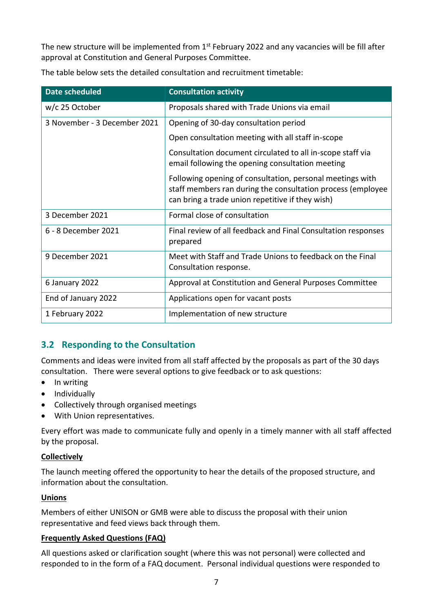The new structure will be implemented from 1<sup>st</sup> February 2022 and any vacancies will be fill after approval at Constitution and General Purposes Committee.

| <b>Date scheduled</b>        | <b>Consultation activity</b>                                                                                                                                                 |
|------------------------------|------------------------------------------------------------------------------------------------------------------------------------------------------------------------------|
| w/c 25 October               | Proposals shared with Trade Unions via email                                                                                                                                 |
| 3 November - 3 December 2021 | Opening of 30-day consultation period                                                                                                                                        |
|                              | Open consultation meeting with all staff in-scope                                                                                                                            |
|                              | Consultation document circulated to all in-scope staff via<br>email following the opening consultation meeting                                                               |
|                              | Following opening of consultation, personal meetings with<br>staff members ran during the consultation process (employee<br>can bring a trade union repetitive if they wish) |
| 3 December 2021              | Formal close of consultation                                                                                                                                                 |
| 6 - 8 December 2021          | Final review of all feedback and Final Consultation responses<br>prepared                                                                                                    |
| 9 December 2021              | Meet with Staff and Trade Unions to feedback on the Final<br>Consultation response.                                                                                          |
| 6 January 2022               | Approval at Constitution and General Purposes Committee                                                                                                                      |
| End of January 2022          | Applications open for vacant posts                                                                                                                                           |
| 1 February 2022              | Implementation of new structure                                                                                                                                              |

The table below sets the detailed consultation and recruitment timetable:

# **3.2 Responding to the Consultation**

Comments and ideas were invited from all staff affected by the proposals as part of the 30 days consultation. There were several options to give feedback or to ask questions:

- In writing
- Individually
- Collectively through organised meetings
- With Union representatives.

Every effort was made to communicate fully and openly in a timely manner with all staff affected by the proposal.

## **Collectively**

The launch meeting offered the opportunity to hear the details of the proposed structure, and information about the consultation.

### **Unions**

Members of either UNISON or GMB were able to discuss the proposal with their union representative and feed views back through them.

### **Frequently Asked Questions (FAQ)**

All questions asked or clarification sought (where this was not personal) were collected and responded to in the form of a FAQ document. Personal individual questions were responded to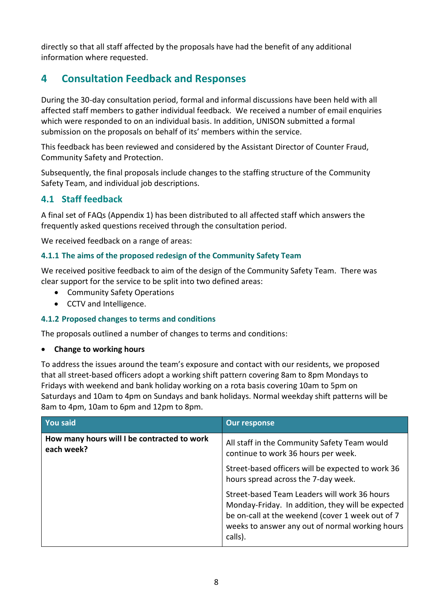directly so that all staff affected by the proposals have had the benefit of any additional information where requested.

# <span id="page-7-0"></span>**4 Consultation Feedback and Responses**

During the 30-day consultation period, formal and informal discussions have been held with all affected staff members to gather individual feedback. We received a number of email enquiries which were responded to on an individual basis. In addition, UNISON submitted a formal submission on the proposals on behalf of its' members within the service.

This feedback has been reviewed and considered by the Assistant Director of Counter Fraud, Community Safety and Protection.

Subsequently, the final proposals include changes to the staffing structure of the Community Safety Team, and individual job descriptions.

# **4.1 Staff feedback**

A final set of FAQs (Appendix 1) has been distributed to all affected staff which answers the frequently asked questions received through the consultation period.

We received feedback on a range of areas:

## **4.1.1 The aims of the proposed redesign of the Community Safety Team**

We received positive feedback to aim of the design of the Community Safety Team. There was clear support for the service to be split into two defined areas:

- Community Safety Operations
- CCTV and Intelligence.

### **4.1.2 Proposed changes to terms and conditions**

The proposals outlined a number of changes to terms and conditions:

### • **Change to working hours**

To address the issues around the team's exposure and contact with our residents, we proposed that all street-based officers adopt a working shift pattern covering 8am to 8pm Mondays to Fridays with weekend and bank holiday working on a rota basis covering 10am to 5pm on Saturdays and 10am to 4pm on Sundays and bank holidays. Normal weekday shift patterns will be 8am to 4pm, 10am to 6pm and 12pm to 8pm.

| <b>You said</b>                                           | <b>Our response</b>                                                                                                                                                                                                 |
|-----------------------------------------------------------|---------------------------------------------------------------------------------------------------------------------------------------------------------------------------------------------------------------------|
| How many hours will I be contracted to work<br>each week? | All staff in the Community Safety Team would<br>continue to work 36 hours per week.                                                                                                                                 |
|                                                           | Street-based officers will be expected to work 36<br>hours spread across the 7-day week.                                                                                                                            |
|                                                           | Street-based Team Leaders will work 36 hours<br>Monday-Friday. In addition, they will be expected<br>be on-call at the weekend (cover 1 week out of 7<br>weeks to answer any out of normal working hours<br>calls). |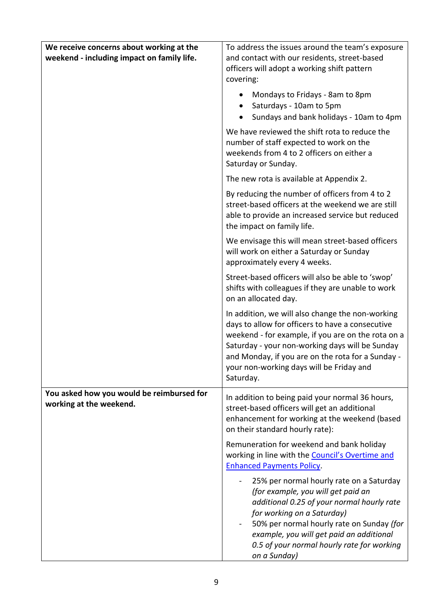| We receive concerns about working at the<br>weekend - including impact on family life. | To address the issues around the team's exposure<br>and contact with our residents, street-based<br>officers will adopt a working shift pattern<br>covering:                                                                                                                                                                |
|----------------------------------------------------------------------------------------|-----------------------------------------------------------------------------------------------------------------------------------------------------------------------------------------------------------------------------------------------------------------------------------------------------------------------------|
|                                                                                        | Mondays to Fridays - 8am to 8pm<br>Saturdays - 10am to 5pm<br>Sundays and bank holidays - 10am to 4pm                                                                                                                                                                                                                       |
|                                                                                        | We have reviewed the shift rota to reduce the<br>number of staff expected to work on the<br>weekends from 4 to 2 officers on either a<br>Saturday or Sunday.                                                                                                                                                                |
|                                                                                        | The new rota is available at Appendix 2.                                                                                                                                                                                                                                                                                    |
|                                                                                        | By reducing the number of officers from 4 to 2<br>street-based officers at the weekend we are still<br>able to provide an increased service but reduced<br>the impact on family life.                                                                                                                                       |
|                                                                                        | We envisage this will mean street-based officers<br>will work on either a Saturday or Sunday<br>approximately every 4 weeks.                                                                                                                                                                                                |
|                                                                                        | Street-based officers will also be able to 'swop'<br>shifts with colleagues if they are unable to work<br>on an allocated day.                                                                                                                                                                                              |
|                                                                                        | In addition, we will also change the non-working<br>days to allow for officers to have a consecutive<br>weekend - for example, if you are on the rota on a<br>Saturday - your non-working days will be Sunday<br>and Monday, if you are on the rota for a Sunday -<br>your non-working days will be Friday and<br>Saturday. |
| You asked how you would be reimbursed for<br>working at the weekend.                   | In addition to being paid your normal 36 hours,<br>street-based officers will get an additional<br>enhancement for working at the weekend (based<br>on their standard hourly rate):                                                                                                                                         |
|                                                                                        | Remuneration for weekend and bank holiday<br>working in line with the Council's Overtime and<br><b>Enhanced Payments Policy.</b>                                                                                                                                                                                            |
|                                                                                        | 25% per normal hourly rate on a Saturday<br>(for example, you will get paid an<br>additional 0.25 of your normal hourly rate<br>for working on a Saturday)<br>50% per normal hourly rate on Sunday (for<br>example, you will get paid an additional<br>0.5 of your normal hourly rate for working<br>on a Sunday)           |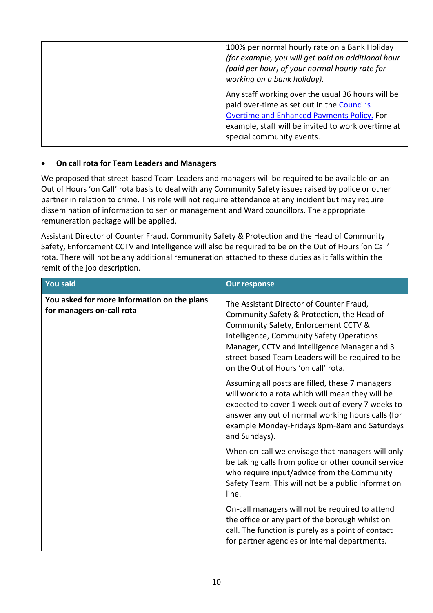| 100% per normal hourly rate on a Bank Holiday<br>(for example, you will get paid an additional hour<br>(paid per hour) of your normal hourly rate for<br>working on a bank holiday).                                             |
|----------------------------------------------------------------------------------------------------------------------------------------------------------------------------------------------------------------------------------|
| Any staff working over the usual 36 hours will be<br>paid over-time as set out in the Council's<br>Overtime and Enhanced Payments Policy. For<br>example, staff will be invited to work overtime at<br>special community events. |
|                                                                                                                                                                                                                                  |

### • **On call rota for Team Leaders and Managers**

We proposed that street-based Team Leaders and managers will be required to be available on an Out of Hours 'on Call' rota basis to deal with any Community Safety issues raised by police or other partner in relation to crime. This role will not require attendance at any incident but may require dissemination of information to senior management and Ward councillors. The appropriate remuneration package will be applied.

Assistant Director of Counter Fraud, Community Safety & Protection and the Head of Community Safety, Enforcement CCTV and Intelligence will also be required to be on the Out of Hours 'on Call' rota. There will not be any additional remuneration attached to these duties as it falls within the remit of the job description.

| <b>You said</b>                                                          | <b>Our response</b>                                                                                                                                                                                                                                                                                                    |
|--------------------------------------------------------------------------|------------------------------------------------------------------------------------------------------------------------------------------------------------------------------------------------------------------------------------------------------------------------------------------------------------------------|
| You asked for more information on the plans<br>for managers on-call rota | The Assistant Director of Counter Fraud,<br>Community Safety & Protection, the Head of<br>Community Safety, Enforcement CCTV &<br>Intelligence, Community Safety Operations<br>Manager, CCTV and Intelligence Manager and 3<br>street-based Team Leaders will be required to be<br>on the Out of Hours 'on call' rota. |
|                                                                          | Assuming all posts are filled, these 7 managers<br>will work to a rota which will mean they will be<br>expected to cover 1 week out of every 7 weeks to<br>answer any out of normal working hours calls (for<br>example Monday-Fridays 8pm-8am and Saturdays<br>and Sundays).                                          |
|                                                                          | When on-call we envisage that managers will only<br>be taking calls from police or other council service<br>who require input/advice from the Community<br>Safety Team. This will not be a public information<br>line.                                                                                                 |
|                                                                          | On-call managers will not be required to attend<br>the office or any part of the borough whilst on<br>call. The function is purely as a point of contact<br>for partner agencies or internal departments.                                                                                                              |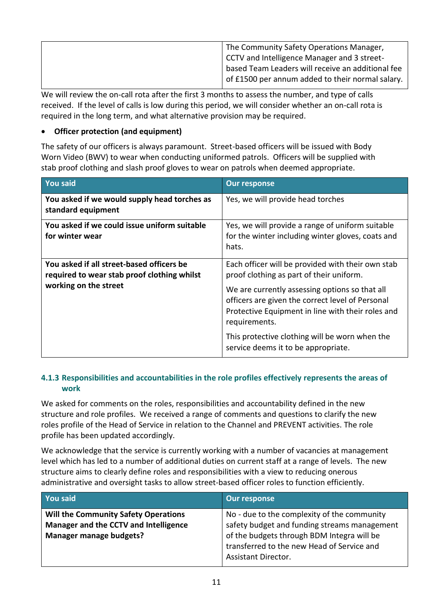| <sup>1</sup> The Community Safety Operations Manager, |
|-------------------------------------------------------|
| CCTV and Intelligence Manager and 3 street-           |
| based Team Leaders will receive an additional fee     |
| of £1500 per annum added to their normal salary.      |
|                                                       |

We will review the on-call rota after the first 3 months to assess the number, and type of calls received. If the level of calls is low during this period, we will consider whether an on-call rota is required in the long term, and what alternative provision may be required.

### • **Officer protection (and equipment)**

The safety of our officers is always paramount. Street-based officers will be issued with Body Worn Video (BWV) to wear when conducting uniformed patrols. Officers will be supplied with stab proof clothing and slash proof gloves to wear on patrols when deemed appropriate.

| <b>You said</b>                                                                                                   | <b>Our response</b>                                                                                                                                                                                                                                                                                                                                                |
|-------------------------------------------------------------------------------------------------------------------|--------------------------------------------------------------------------------------------------------------------------------------------------------------------------------------------------------------------------------------------------------------------------------------------------------------------------------------------------------------------|
| You asked if we would supply head torches as<br>standard equipment                                                | Yes, we will provide head torches                                                                                                                                                                                                                                                                                                                                  |
| You asked if we could issue uniform suitable<br>for winter wear                                                   | Yes, we will provide a range of uniform suitable<br>for the winter including winter gloves, coats and<br>hats.                                                                                                                                                                                                                                                     |
| You asked if all street-based officers be<br>required to wear stab proof clothing whilst<br>working on the street | Each officer will be provided with their own stab<br>proof clothing as part of their uniform.<br>We are currently assessing options so that all<br>officers are given the correct level of Personal<br>Protective Equipment in line with their roles and<br>requirements.<br>This protective clothing will be worn when the<br>service deems it to be appropriate. |

## **4.1.3 Responsibilities and accountabilities in the role profiles effectively represents the areas of work**

We asked for comments on the roles, responsibilities and accountability defined in the new structure and role profiles. We received a range of comments and questions to clarify the new roles profile of the Head of Service in relation to the Channel and PREVENT activities. The role profile has been updated accordingly.

We acknowledge that the service is currently working with a number of vacancies at management level which has led to a number of additional duties on current staff at a range of levels. The new structure aims to clearly define roles and responsibilities with a view to reducing onerous administrative and oversight tasks to allow street-based officer roles to function efficiently.

| You said                                                                                                               | <b>Our response</b>                                                                                                                                                                                                   |
|------------------------------------------------------------------------------------------------------------------------|-----------------------------------------------------------------------------------------------------------------------------------------------------------------------------------------------------------------------|
| <b>Will the Community Safety Operations</b><br>Manager and the CCTV and Intelligence<br><b>Manager manage budgets?</b> | No - due to the complexity of the community<br>safety budget and funding streams management<br>of the budgets through BDM Integra will be<br>transferred to the new Head of Service and<br><b>Assistant Director.</b> |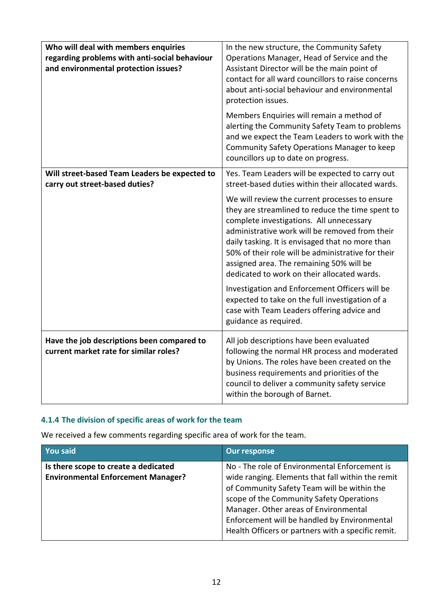| Who will deal with members enquiries<br>regarding problems with anti-social behaviour<br>and environmental protection issues? | In the new structure, the Community Safety<br>Operations Manager, Head of Service and the<br>Assistant Director will be the main point of<br>contact for all ward councillors to raise concerns<br>about anti-social behaviour and environmental<br>protection issues.                                                                                                                                                                                                                                                                                   |
|-------------------------------------------------------------------------------------------------------------------------------|----------------------------------------------------------------------------------------------------------------------------------------------------------------------------------------------------------------------------------------------------------------------------------------------------------------------------------------------------------------------------------------------------------------------------------------------------------------------------------------------------------------------------------------------------------|
|                                                                                                                               | Members Enquiries will remain a method of<br>alerting the Community Safety Team to problems<br>and we expect the Team Leaders to work with the<br>Community Safety Operations Manager to keep<br>councillors up to date on progress.                                                                                                                                                                                                                                                                                                                     |
| Will street-based Team Leaders be expected to<br>carry out street-based duties?                                               | Yes. Team Leaders will be expected to carry out<br>street-based duties within their allocated wards.                                                                                                                                                                                                                                                                                                                                                                                                                                                     |
|                                                                                                                               | We will review the current processes to ensure<br>they are streamlined to reduce the time spent to<br>complete investigations. All unnecessary<br>administrative work will be removed from their<br>daily tasking. It is envisaged that no more than<br>50% of their role will be administrative for their<br>assigned area. The remaining 50% will be<br>dedicated to work on their allocated wards.<br>Investigation and Enforcement Officers will be<br>expected to take on the full investigation of a<br>case with Team Leaders offering advice and |
|                                                                                                                               | guidance as required.                                                                                                                                                                                                                                                                                                                                                                                                                                                                                                                                    |
| Have the job descriptions been compared to<br>current market rate for similar roles?                                          | All job descriptions have been evaluated<br>following the normal HR process and moderated<br>by Unions. The roles have been created on the<br>business requirements and priorities of the<br>council to deliver a community safety service<br>within the borough of Barnet.                                                                                                                                                                                                                                                                              |

# **4.1.4 The division of specific areas of work for the team**

We received a few comments regarding specific area of work for the team.

| <b>You said</b>                                                                   | <b>Our response</b>                                                                                                                                                                                                                                                                                                                          |
|-----------------------------------------------------------------------------------|----------------------------------------------------------------------------------------------------------------------------------------------------------------------------------------------------------------------------------------------------------------------------------------------------------------------------------------------|
| Is there scope to create a dedicated<br><b>Environmental Enforcement Manager?</b> | No - The role of Environmental Enforcement is<br>wide ranging. Elements that fall within the remit<br>of Community Safety Team will be within the<br>scope of the Community Safety Operations<br>Manager. Other areas of Environmental<br>Enforcement will be handled by Environmental<br>Health Officers or partners with a specific remit. |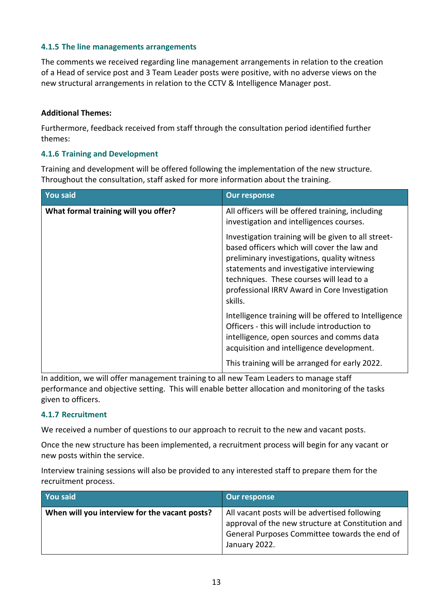### **4.1.5 The line managements arrangements**

The comments we received regarding line management arrangements in relation to the creation of a Head of service post and 3 Team Leader posts were positive, with no adverse views on the new structural arrangements in relation to the CCTV & Intelligence Manager post.

#### **Additional Themes:**

Furthermore, feedback received from staff through the consultation period identified further themes:

#### **4.1.6 Training and Development**

Training and development will be offered following the implementation of the new structure. Throughout the consultation, staff asked for more information about the training.

| <b>You said</b>                      | <b>Our response</b>                                                                                                                                                                                                                                                                                    |
|--------------------------------------|--------------------------------------------------------------------------------------------------------------------------------------------------------------------------------------------------------------------------------------------------------------------------------------------------------|
| What formal training will you offer? | All officers will be offered training, including<br>investigation and intelligences courses.                                                                                                                                                                                                           |
|                                      | Investigation training will be given to all street-<br>based officers which will cover the law and<br>preliminary investigations, quality witness<br>statements and investigative interviewing<br>techniques. These courses will lead to a<br>professional IRRV Award in Core Investigation<br>skills. |
|                                      | Intelligence training will be offered to Intelligence<br>Officers - this will include introduction to<br>intelligence, open sources and comms data<br>acquisition and intelligence development.                                                                                                        |
|                                      | This training will be arranged for early 2022.                                                                                                                                                                                                                                                         |

In addition, we will offer management training to all new Team Leaders to manage staff performance and objective setting. This will enable better allocation and monitoring of the tasks given to officers.

#### **4.1.7 Recruitment**

We received a number of questions to our approach to recruit to the new and vacant posts.

Once the new structure has been implemented, a recruitment process will begin for any vacant or new posts within the service.

Interview training sessions will also be provided to any interested staff to prepare them for the recruitment process.

| You said                                      | Our response                                                                                                                                                         |
|-----------------------------------------------|----------------------------------------------------------------------------------------------------------------------------------------------------------------------|
| When will you interview for the vacant posts? | All vacant posts will be advertised following<br>approval of the new structure at Constitution and<br>General Purposes Committee towards the end of<br>January 2022. |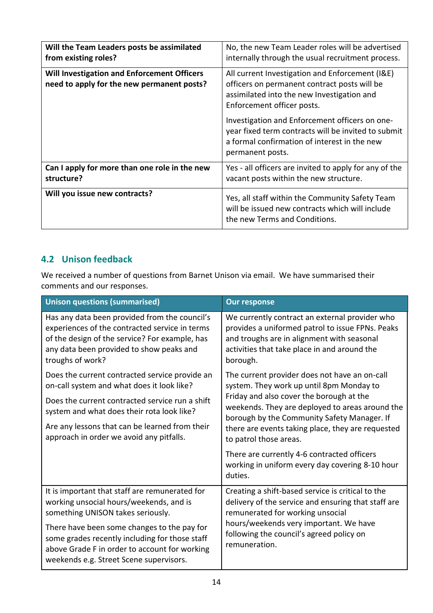| Will the Team Leaders posts be assimilated<br>from existing roles?                        | No, the new Team Leader roles will be advertised<br>internally through the usual recruitment process.                                                                       |  |
|-------------------------------------------------------------------------------------------|-----------------------------------------------------------------------------------------------------------------------------------------------------------------------------|--|
| Will Investigation and Enforcement Officers<br>need to apply for the new permanent posts? | All current Investigation and Enforcement (I&E)<br>officers on permanent contract posts will be<br>assimilated into the new Investigation and<br>Enforcement officer posts. |  |
|                                                                                           | Investigation and Enforcement officers on one-<br>year fixed term contracts will be invited to submit<br>a formal confirmation of interest in the new<br>permanent posts.   |  |
| Can I apply for more than one role in the new<br>structure?                               | Yes - all officers are invited to apply for any of the<br>vacant posts within the new structure.                                                                            |  |
| Will you issue new contracts?                                                             | Yes, all staff within the Community Safety Team<br>will be issued new contracts which will include<br>the new Terms and Conditions.                                         |  |

# **4.2 Unison feedback**

We received a number of questions from Barnet Unison via email. We have summarised their comments and our responses.

| <b>Unison questions (summarised)</b>                                                                                                                                                                              | <b>Our response</b>                                                                                                                                                                                          |
|-------------------------------------------------------------------------------------------------------------------------------------------------------------------------------------------------------------------|--------------------------------------------------------------------------------------------------------------------------------------------------------------------------------------------------------------|
| Has any data been provided from the council's<br>experiences of the contracted service in terms<br>of the design of the service? For example, has<br>any data been provided to show peaks and<br>troughs of work? | We currently contract an external provider who<br>provides a uniformed patrol to issue FPNs. Peaks<br>and troughs are in alignment with seasonal<br>activities that take place in and around the<br>borough. |
| Does the current contracted service provide an<br>on-call system and what does it look like?                                                                                                                      | The current provider does not have an on-call<br>system. They work up until 8pm Monday to                                                                                                                    |
| Does the current contracted service run a shift<br>system and what does their rota look like?                                                                                                                     | Friday and also cover the borough at the<br>weekends. They are deployed to areas around the<br>borough by the Community Safety Manager. If                                                                   |
| Are any lessons that can be learned from their<br>approach in order we avoid any pitfalls.                                                                                                                        | there are events taking place, they are requested<br>to patrol those areas.                                                                                                                                  |
|                                                                                                                                                                                                                   | There are currently 4-6 contracted officers<br>working in uniform every day covering 8-10 hour<br>duties.                                                                                                    |
| It is important that staff are remunerated for<br>working unsocial hours/weekends, and is                                                                                                                         | Creating a shift-based service is critical to the<br>delivery of the service and ensuring that staff are                                                                                                     |
| something UNISON takes seriously.                                                                                                                                                                                 | remunerated for working unsocial                                                                                                                                                                             |
| There have been some changes to the pay for<br>some grades recently including for those staff<br>above Grade F in order to account for working<br>weekends e.g. Street Scene supervisors.                         | hours/weekends very important. We have<br>following the council's agreed policy on<br>remuneration.                                                                                                          |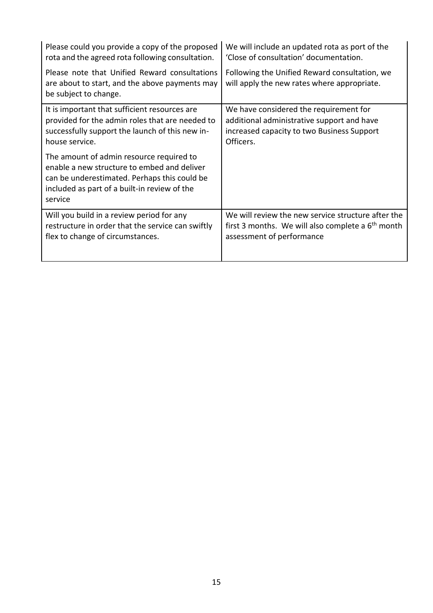| Please could you provide a copy of the proposed                                                                                                                                                    | We will include an updated rota as port of the                                               |
|----------------------------------------------------------------------------------------------------------------------------------------------------------------------------------------------------|----------------------------------------------------------------------------------------------|
| rota and the agreed rota following consultation.                                                                                                                                                   | 'Close of consultation' documentation.                                                       |
| Please note that Unified Reward consultations<br>are about to start, and the above payments may<br>be subject to change.                                                                           | Following the Unified Reward consultation, we<br>will apply the new rates where appropriate. |
| It is important that sufficient resources are                                                                                                                                                      | We have considered the requirement for                                                       |
| provided for the admin roles that are needed to                                                                                                                                                    | additional administrative support and have                                                   |
| successfully support the launch of this new in-                                                                                                                                                    | increased capacity to two Business Support                                                   |
| house service.                                                                                                                                                                                     | Officers.                                                                                    |
| The amount of admin resource required to<br>enable a new structure to embed and deliver<br>can be underestimated. Perhaps this could be<br>included as part of a built-in review of the<br>service |                                                                                              |
| Will you build in a review period for any                                                                                                                                                          | We will review the new service structure after the                                           |
| restructure in order that the service can swiftly                                                                                                                                                  | first 3 months. We will also complete a $6th$ month                                          |
| flex to change of circumstances.                                                                                                                                                                   | assessment of performance                                                                    |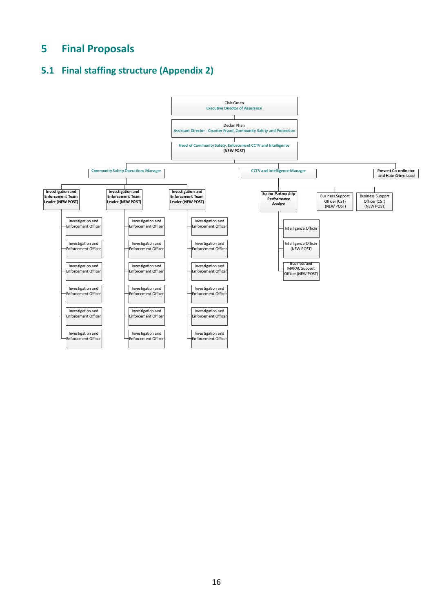# <span id="page-15-0"></span>**5 Final Proposals**

# <span id="page-15-1"></span>**5.1 Final staffing structure (Appendix 2)**

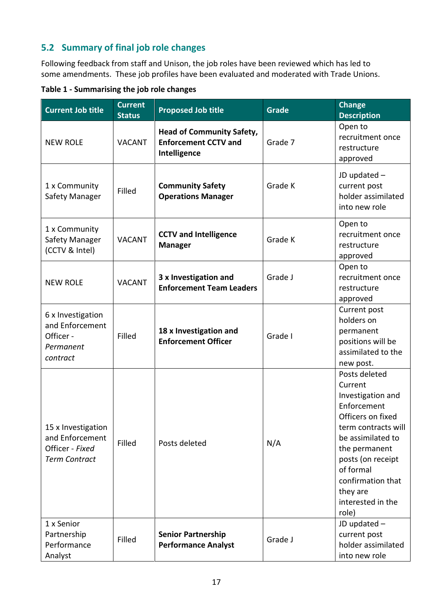# <span id="page-16-0"></span>**5.2 Summary of final job role changes**

Following feedback from staff and Unison, the job roles have been reviewed which has led to some amendments. These job profiles have been evaluated and moderated with Trade Unions.

| Table 1 - Summarising the job role changes |  |  |
|--------------------------------------------|--|--|
|--------------------------------------------|--|--|

| <b>Current Job title</b>                                                         | <b>Current</b><br><b>Status</b> | <b>Proposed Job title</b>                                                       | <b>Grade</b> | <b>Change</b><br><b>Description</b>                                                                                                                                                                                                             |
|----------------------------------------------------------------------------------|---------------------------------|---------------------------------------------------------------------------------|--------------|-------------------------------------------------------------------------------------------------------------------------------------------------------------------------------------------------------------------------------------------------|
| <b>NEW ROLE</b>                                                                  | <b>VACANT</b>                   | <b>Head of Community Safety,</b><br><b>Enforcement CCTV and</b><br>Intelligence | Grade 7      | Open to<br>recruitment once<br>restructure<br>approved                                                                                                                                                                                          |
| 1 x Community<br>Safety Manager                                                  | Filled                          | <b>Community Safety</b><br><b>Operations Manager</b>                            | Grade K      | JD updated -<br>current post<br>holder assimilated<br>into new role                                                                                                                                                                             |
| 1 x Community<br>Safety Manager<br>(CCTV & Intel)                                | <b>VACANT</b>                   | <b>CCTV and Intelligence</b><br><b>Manager</b>                                  | Grade K      | Open to<br>recruitment once<br>restructure<br>approved                                                                                                                                                                                          |
| <b>NEW ROLE</b>                                                                  | <b>VACANT</b>                   | 3 x Investigation and<br><b>Enforcement Team Leaders</b>                        | Grade J      | Open to<br>recruitment once<br>restructure<br>approved                                                                                                                                                                                          |
| 6 x Investigation<br>and Enforcement<br>Officer -<br>Permanent<br>contract       | Filled                          | 18 x Investigation and<br><b>Enforcement Officer</b>                            | Grade I      | Current post<br>holders on<br>permanent<br>positions will be<br>assimilated to the<br>new post.                                                                                                                                                 |
| 15 x Investigation<br>and Enforcement<br>Officer - Fixed<br><b>Term Contract</b> | Filled                          | Posts deleted                                                                   | N/A          | Posts deleted<br>Current<br>Investigation and<br>Enforcement<br>Officers on fixed<br>term contracts will<br>be assimilated to<br>the permanent<br>posts (on receipt<br>of formal<br>confirmation that<br>they are<br>interested in the<br>role) |
| 1 x Senior<br>Partnership<br>Performance<br>Analyst                              | Filled                          | <b>Senior Partnership</b><br><b>Performance Analyst</b>                         | Grade J      | JD updated -<br>current post<br>holder assimilated<br>into new role                                                                                                                                                                             |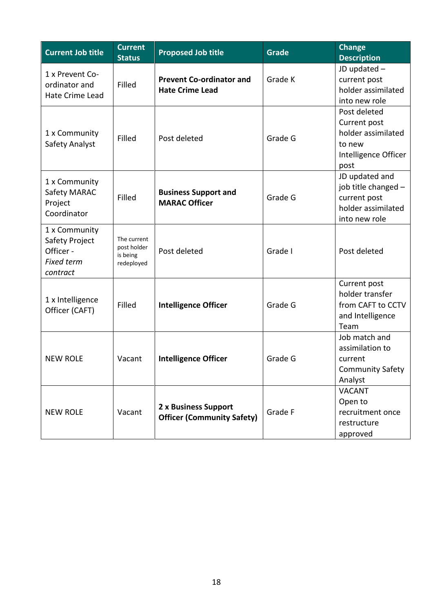| <b>Current Job title</b>                                                      | <b>Current</b><br><b>Status</b>                      | <b>Proposed Job title</b>                                 | <b>Grade</b> | Change<br><b>Description</b>                                                                 |
|-------------------------------------------------------------------------------|------------------------------------------------------|-----------------------------------------------------------|--------------|----------------------------------------------------------------------------------------------|
| 1 x Prevent Co-<br>ordinator and<br>Hate Crime Lead                           | Filled                                               | <b>Prevent Co-ordinator and</b><br><b>Hate Crime Lead</b> | Grade K      | JD updated -<br>current post<br>holder assimilated<br>into new role                          |
| 1 x Community<br>Safety Analyst                                               | Filled                                               | Post deleted                                              | Grade G      | Post deleted<br>Current post<br>holder assimilated<br>to new<br>Intelligence Officer<br>post |
| 1 x Community<br>Safety MARAC<br>Project<br>Coordinator                       | Filled                                               | <b>Business Support and</b><br><b>MARAC Officer</b>       | Grade G      | JD updated and<br>job title changed -<br>current post<br>holder assimilated<br>into new role |
| 1 x Community<br>Safety Project<br>Officer -<br><b>Fixed term</b><br>contract | The current<br>post holder<br>is being<br>redeployed | Post deleted                                              | Grade I      | Post deleted                                                                                 |
| 1 x Intelligence<br>Officer (CAFT)                                            | Filled                                               | <b>Intelligence Officer</b>                               | Grade G      | Current post<br>holder transfer<br>from CAFT to CCTV<br>and Intelligence<br>Team             |
| <b>NEW ROLE</b>                                                               | Vacant                                               | <b>Intelligence Officer</b>                               | Grade G      | Job match and<br>assimilation to<br>current<br><b>Community Safety</b><br>Analyst            |
| <b>NEW ROLE</b>                                                               | Vacant                                               | 2 x Business Support<br><b>Officer (Community Safety)</b> | Grade F      | <b>VACANT</b><br>Open to<br>recruitment once<br>restructure<br>approved                      |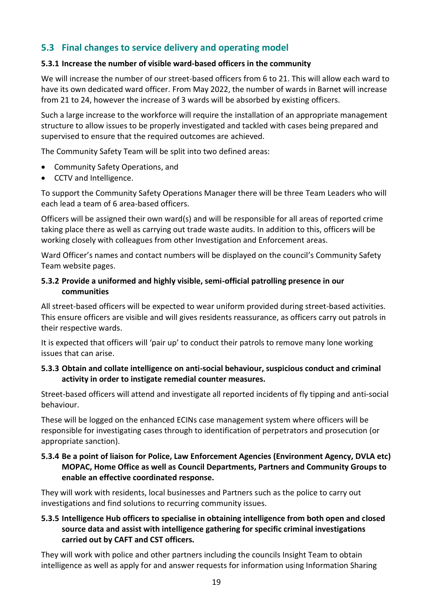# <span id="page-18-0"></span>**5.3 Final changes to service delivery and operating model**

### **5.3.1 Increase the number of visible ward-based officers in the community**

We will increase the number of our street-based officers from 6 to 21. This will allow each ward to have its own dedicated ward officer. From May 2022, the number of wards in Barnet will increase from 21 to 24, however the increase of 3 wards will be absorbed by existing officers.

Such a large increase to the workforce will require the installation of an appropriate management structure to allow issues to be properly investigated and tackled with cases being prepared and supervised to ensure that the required outcomes are achieved.

The Community Safety Team will be split into two defined areas:

- Community Safety Operations, and
- CCTV and Intelligence.

To support the Community Safety Operations Manager there will be three Team Leaders who will each lead a team of 6 area-based officers.

Officers will be assigned their own ward(s) and will be responsible for all areas of reported crime taking place there as well as carrying out trade waste audits. In addition to this, officers will be working closely with colleagues from other Investigation and Enforcement areas.

Ward Officer's names and contact numbers will be displayed on the council's Community Safety Team website pages.

### **5.3.2 Provide a uniformed and highly visible, semi-official patrolling presence in our communities**

All street-based officers will be expected to wear uniform provided during street-based activities. This ensure officers are visible and will gives residents reassurance, as officers carry out patrols in their respective wards.

It is expected that officers will 'pair up' to conduct their patrols to remove many lone working issues that can arise.

### **5.3.3 Obtain and collate intelligence on anti-social behaviour, suspicious conduct and criminal activity in order to instigate remedial counter measures.**

Street-based officers will attend and investigate all reported incidents of fly tipping and anti-social behaviour.

These will be logged on the enhanced ECINs case management system where officers will be responsible for investigating cases through to identification of perpetrators and prosecution (or appropriate sanction).

### **5.3.4 Be a point of liaison for Police, Law Enforcement Agencies (Environment Agency, DVLA etc) MOPAC, Home Office as well as Council Departments, Partners and Community Groups to enable an effective coordinated response.**

They will work with residents, local businesses and Partners such as the police to carry out investigations and find solutions to recurring community issues.

## **5.3.5 Intelligence Hub officers to specialise in obtaining intelligence from both open and closed source data and assist with intelligence gathering for specific criminal investigations carried out by CAFT and CST officers.**

They will work with police and other partners including the councils Insight Team to obtain intelligence as well as apply for and answer requests for information using Information Sharing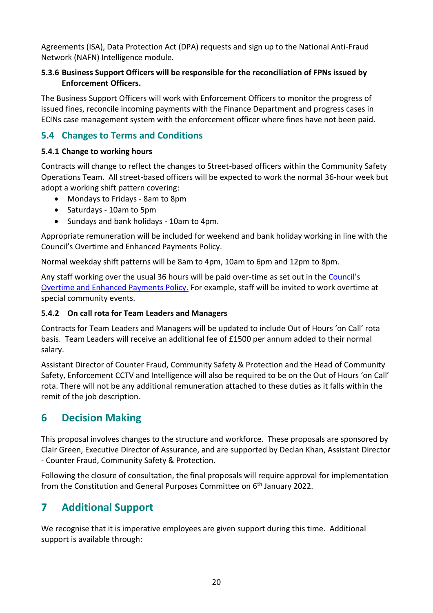Agreements (ISA), Data Protection Act (DPA) requests and sign up to the National Anti-Fraud Network (NAFN) Intelligence module.

## **5.3.6 Business Support Officers will be responsible for the reconciliation of FPNs issued by Enforcement Officers.**

The Business Support Officers will work with Enforcement Officers to monitor the progress of issued fines, reconcile incoming payments with the Finance Department and progress cases in ECINs case management system with the enforcement officer where fines have not been paid.

# <span id="page-19-0"></span>**5.4 Changes to Terms and Conditions**

## **5.4.1 Change to working hours**

Contracts will change to reflect the changes to Street-based officers within the Community Safety Operations Team. All street-based officers will be expected to work the normal 36-hour week but adopt a working shift pattern covering:

- Mondays to Fridays 8am to 8pm
- Saturdays 10am to 5pm
- Sundays and bank holidays 10am to 4pm.

Appropriate remuneration will be included for weekend and bank holiday working in line with the Council's Overtime and Enhanced Payments Policy.

Normal weekday shift patterns will be 8am to 4pm, 10am to 6pm and 12pm to 8pm.

Any staff working over the usual 36 hours will be paid over-time as set out in the [Council's](https://barnetcouncil.sharepoint.com/sites/BWResources/HR%20Policies/Forms/AllItems.aspx?id=%2Fsites%2FBWResources%2FHR%20Policies%2FOvertime%20and%20Enhanced%20Payments%20Policy%2Epdf&parent=%2Fsites%2FBWResources%2FHR%20Policies)  [Overtime and Enhanced Payments Policy.](https://barnetcouncil.sharepoint.com/sites/BWResources/HR%20Policies/Forms/AllItems.aspx?id=%2Fsites%2FBWResources%2FHR%20Policies%2FOvertime%20and%20Enhanced%20Payments%20Policy%2Epdf&parent=%2Fsites%2FBWResources%2FHR%20Policies) For example, staff will be invited to work overtime at special community events.

## **5.4.2 On call rota for Team Leaders and Managers**

Contracts for Team Leaders and Managers will be updated to include Out of Hours 'on Call' rota basis. Team Leaders will receive an additional fee of £1500 per annum added to their normal salary.

Assistant Director of Counter Fraud, Community Safety & Protection and the Head of Community Safety, Enforcement CCTV and Intelligence will also be required to be on the Out of Hours 'on Call' rota. There will not be any additional remuneration attached to these duties as it falls within the remit of the job description.

# <span id="page-19-1"></span>**6 Decision Making**

This proposal involves changes to the structure and workforce. These proposals are sponsored by Clair Green, Executive Director of Assurance, and are supported by Declan Khan, Assistant Director - Counter Fraud, Community Safety & Protection.

Following the closure of consultation, the final proposals will require approval for implementation from the Constitution and General Purposes Committee on 6<sup>th</sup> January 2022.

# <span id="page-19-2"></span>**7 Additional Support**

We recognise that it is imperative employees are given support during this time. Additional support is available through: